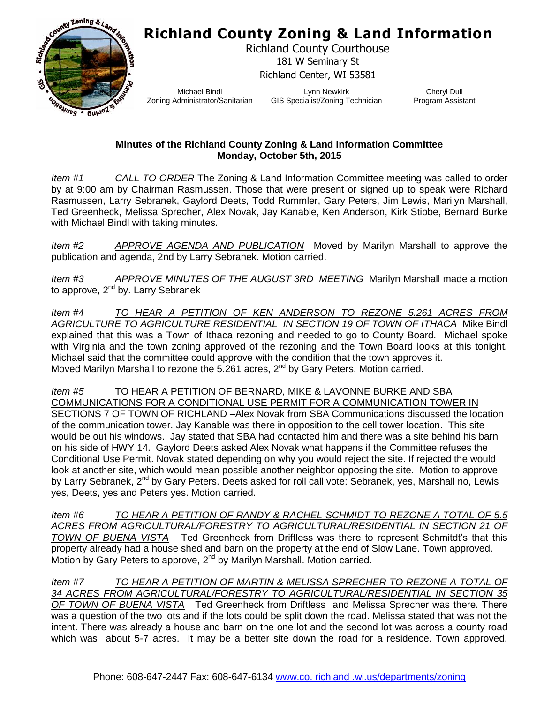## **Richland County Zoning & Land Information**



Richland County Courthouse 181 W Seminary St Richland Center, WI 53581

Michael Bindl Zoning Administrator/Sanitarian

Lynn Newkirk GIS Specialist/Zoning Technician

Cheryl Dull Program Assistant

## **Minutes of the Richland County Zoning & Land Information Committee Monday, October 5th, 2015**

*Item #1 CALL TO ORDER* The Zoning & Land Information Committee meeting was called to order by at 9:00 am by Chairman Rasmussen. Those that were present or signed up to speak were Richard Rasmussen, Larry Sebranek, Gaylord Deets, Todd Rummler, Gary Peters, Jim Lewis, Marilyn Marshall, Ted Greenheck, Melissa Sprecher, Alex Novak, Jay Kanable, Ken Anderson, Kirk Stibbe, Bernard Burke with Michael Bindl with taking minutes.

*Item #2 APPROVE AGENDA AND PUBLICATION* Moved by Marilyn Marshall to approve the publication and agenda, 2nd by Larry Sebranek. Motion carried.

*Item #3 APPROVE MINUTES OF THE AUGUST 3RD MEETING* Marilyn Marshall made a motion to approve, 2<sup>nd</sup> by. Larry Sebranek

*Item #4 TO HEAR A PETITION OF KEN ANDERSON TO REZONE 5.261 ACRES FROM AGRICULTURE TO AGRICULTURE RESIDENTIAL IN SECTION 19 OF TOWN OF ITHACA* Mike Bindl explained that this was a Town of Ithaca rezoning and needed to go to County Board. Michael spoke with Virginia and the town zoning approved of the rezoning and the Town Board looks at this tonight. Michael said that the committee could approve with the condition that the town approves it. Moved Marilyn Marshall to rezone the 5.261 acres,  $2<sup>nd</sup>$  by Gary Peters. Motion carried.

*Item #5* TO HEAR A PETITION OF BERNARD, MIKE & LAVONNE BURKE AND SBA COMMUNICATIONS FOR A CONDITIONAL USE PERMIT FOR A COMMUNICATION TOWER IN SECTIONS 7 OF TOWN OF RICHLAND –Alex Novak from SBA Communications discussed the location of the communication tower. Jay Kanable was there in opposition to the cell tower location. This site would be out his windows. Jay stated that SBA had contacted him and there was a site behind his barn on his side of HWY 14. Gaylord Deets asked Alex Novak what happens if the Committee refuses the Conditional Use Permit. Novak stated depending on why you would reject the site. If rejected the would look at another site, which would mean possible another neighbor opposing the site. Motion to approve by Larry Sebranek, 2<sup>nd</sup> by Gary Peters. Deets asked for roll call vote: Sebranek, yes, Marshall no, Lewis yes, Deets, yes and Peters yes. Motion carried.

*Item #6 TO HEAR A PETITION OF RANDY & RACHEL SCHMIDT TO REZONE A TOTAL OF 5.5* ACRES FROM AGRICULTURAL/FORESTRY TO AGRICULTURAL/RESIDENTIAL IN SECTION 21 OF *TOWN OF BUENA VISTA* Ted Greenheck from Driftless was there to represent Schmitdt's that this property already had a house shed and barn on the property at the end of Slow Lane. Town approved. Motion by Gary Peters to approve, 2<sup>nd</sup> by Marilyn Marshall. Motion carried.

*Item #7 TO HEAR A PETITION OF MARTIN & MELISSA SPRECHER TO REZONE A TOTAL OF 34 ACRES FROM AGRICULTURAL/FORESTRY TO AGRICULTURAL/RESIDENTIAL IN SECTION 35 OF TOWN OF BUENA VISTA* Ted Greenheck from Driftless and Melissa Sprecher was there. There was a question of the two lots and if the lots could be split down the road. Melissa stated that was not the intent. There was already a house and barn on the one lot and the second lot was across a county road which was about 5-7 acres. It may be a better site down the road for a residence. Town approved.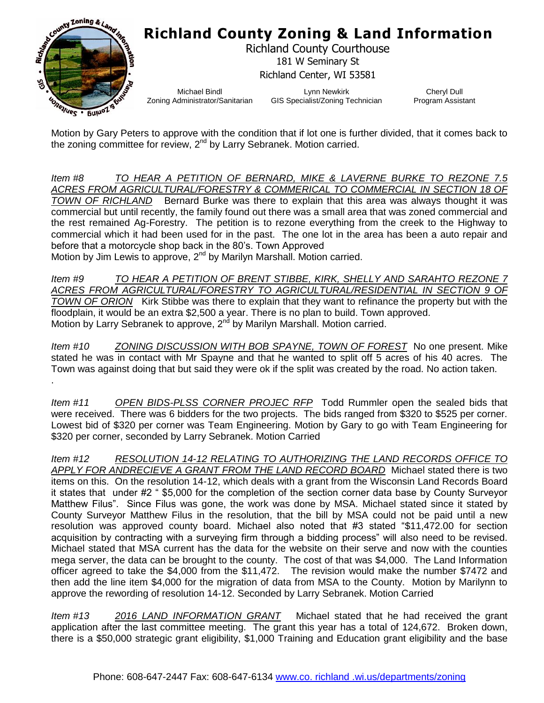

Motion by Gary Peters to approve with the condition that if lot one is further divided, that it comes back to the zoning committee for review,  $2^{nd}$  by Larry Sebranek. Motion carried.

*Item #8 TO HEAR A PETITION OF BERNARD, MIKE & LAVERNE BURKE TO REZONE 7.5*  ACRES FROM AGRICULTURAL/FORESTRY & COMMERICAL TO COMMERCIAL IN SECTION 18 OF *TOWN OF RICHLAND* Bernard Burke was there to explain that this area was always thought it was commercial but until recently, the family found out there was a small area that was zoned commercial and the rest remained Ag-Forestry. The petition is to rezone everything from the creek to the Highway to commercial which it had been used for in the past. The one lot in the area has been a auto repair and before that a motorcycle shop back in the 80's. Town Approved

Motion by Jim Lewis to approve, 2<sup>nd</sup> by Marilyn Marshall. Motion carried.

.

*Item #9 TO HEAR A PETITION OF BRENT STIBBE, KIRK, SHELLY AND SARAHTO REZONE 7 ACRES FROM AGRICULTURAL/FORESTRY TO AGRICULTURAL/RESIDENTIAL IN SECTION 9 OF TOWN OF ORION* Kirk Stibbe was there to explain that they want to refinance the property but with the floodplain, it would be an extra \$2,500 a year. There is no plan to build. Town approved. Motion by Larry Sebranek to approve,  $2<sup>nd</sup>$  by Marilyn Marshall. Motion carried.

*Item #10 ZONING DISCUSSION WITH BOB SPAYNE, TOWN OF FOREST* No one present. Mike stated he was in contact with Mr Spayne and that he wanted to split off 5 acres of his 40 acres. The Town was against doing that but said they were ok if the split was created by the road. No action taken.

*Item #11 OPEN BIDS-PLSS CORNER PROJEC RFP* Todd Rummler open the sealed bids that were received. There was 6 bidders for the two projects. The bids ranged from \$320 to \$525 per corner. Lowest bid of \$320 per corner was Team Engineering. Motion by Gary to go with Team Engineering for \$320 per corner, seconded by Larry Sebranek. Motion Carried

*Item #12 RESOLUTION 14-12 RELATING TO AUTHORIZING THE LAND RECORDS OFFICE TO APPLY FOR ANDRECIEVE A GRANT FROM THE LAND RECORD BOARD* Michael stated there is two items on this. On the resolution 14-12, which deals with a grant from the Wisconsin Land Records Board it states that under #2 " \$5,000 for the completion of the section corner data base by County Surveyor Matthew Filus". Since Filus was gone, the work was done by MSA. Michael stated since it stated by County Surveyor Matthew Filus in the resolution, that the bill by MSA could not be paid until a new resolution was approved county board. Michael also noted that #3 stated "\$11,472.00 for section acquisition by contracting with a surveying firm through a bidding process" will also need to be revised. Michael stated that MSA current has the data for the website on their serve and now with the counties mega server, the data can be brought to the county. The cost of that was \$4,000. The Land Information officer agreed to take the \$4,000 from the \$11,472. The revision would make the number \$7472 and then add the line item \$4,000 for the migration of data from MSA to the County. Motion by Marilynn to approve the rewording of resolution 14-12. Seconded by Larry Sebranek. Motion Carried

*Item #13 2016 LAND INFORMATION GRANT* Michael stated that he had received the grant application after the last committee meeting. The grant this year has a total of 124,672. Broken down, there is a \$50,000 strategic grant eligibility, \$1,000 Training and Education grant eligibility and the base